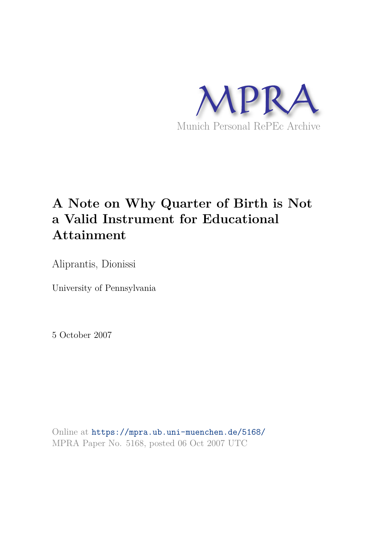

# **A Note on Why Quarter of Birth is Not a Valid Instrument for Educational Attainment**

Aliprantis, Dionissi

University of Pennsylvania

5 October 2007

Online at https://mpra.ub.uni-muenchen.de/5168/ MPRA Paper No. 5168, posted 06 Oct 2007 UTC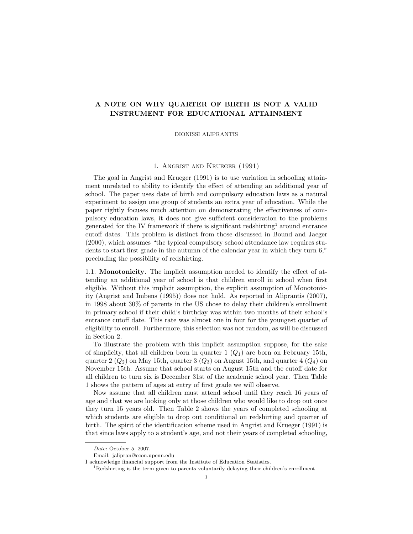## A NOTE ON WHY QUARTER OF BIRTH IS NOT A VALID INSTRUMENT FOR EDUCATIONAL ATTAINMENT

DIONISSI ALIPRANTIS

#### 1. Angrist and Krueger (1991)

The goal in Angrist and Krueger (1991) is to use variation in schooling attainment unrelated to ability to identify the effect of attending an additional year of school. The paper uses date of birth and compulsory education laws as a natural experiment to assign one group of students an extra year of education. While the paper rightly focuses much attention on demonstrating the effectiveness of compulsory education laws, it does not give sufficient consideration to the problems generated for the IV framework if there is significant redshirting<sup>1</sup> around entrance cutoff dates. This problem is distinct from those discussed in Bound and Jaeger (2000), which assumes "the typical compulsory school attendance law requires students to start first grade in the autumn of the calendar year in which they turn 6," precluding the possibility of redshirting.

1.1. Monotonicity. The implicit assumption needed to identify the effect of attending an additional year of school is that children enroll in school when first eligible. Without this implicit assumption, the explicit assumption of Monotonicity (Angrist and Imbens (1995)) does not hold. As reported in Aliprantis (2007), in 1998 about 30% of parents in the US chose to delay their children's enrollment in primary school if their child's birthday was within two months of their school's entrance cutoff date. This rate was almost one in four for the youngest quarter of eligibility to enroll. Furthermore, this selection was not random, as will be discussed in Section 2.

To illustrate the problem with this implicit assumption suppose, for the sake of simplicity, that all children born in quarter  $1 (Q<sub>1</sub>)$  are born on February 15th, quarter 2  $(Q_2)$  on May 15th, quarter 3  $(Q_3)$  on August 15th, and quarter 4  $(Q_4)$  on November 15th. Assume that school starts on August 15th and the cutoff date for all children to turn six is December 31st of the academic school year. Then Table 1 shows the pattern of ages at entry of first grade we will observe.

Now assume that all children must attend school until they reach 16 years of age and that we are looking only at those children who would like to drop out once they turn 15 years old. Then Table 2 shows the years of completed schooling at which students are eligible to drop out conditional on redshirting and quarter of birth. The spirit of the identification scheme used in Angrist and Krueger (1991) is that since laws apply to a student's age, and not their years of completed schooling,

Date: October 5, 2007.

Email: jalipran@econ.upenn.edu

I acknowledge financial support from the Institute of Education Statistics.

<sup>1</sup>Redshirting is the term given to parents voluntarily delaying their children's enrollment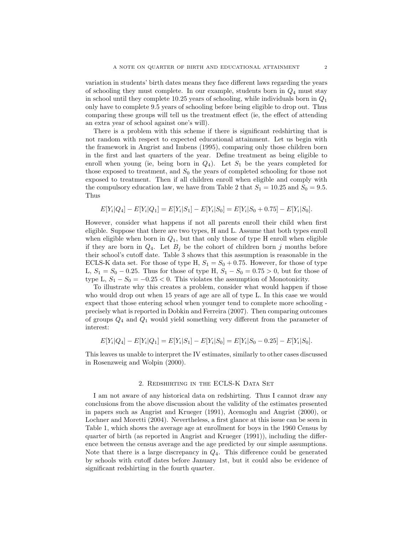variation in students' birth dates means they face different laws regarding the years of schooling they must complete. In our example, students born in  $Q_4$  must stay in school until they complete 10.25 years of schooling, while individuals born in  $Q_1$ only have to complete 9.5 years of schooling before being eligible to drop out. Thus comparing these groups will tell us the treatment effect (ie, the effect of attending an extra year of school against one's will).

There is a problem with this scheme if there is significant redshirting that is not random with respect to expected educational attainment. Let us begin with the framework in Angrist and Imbens (1995), comparing only those children born in the first and last quarters of the year. Define treatment as being eligible to enroll when young (ie, being born in  $Q_4$ ). Let  $S_1$  be the years completed for those exposed to treatment, and  $S_0$  the years of completed schooling for those not exposed to treatment. Then if all children enroll when eligible and comply with the compulsory education law, we have from Table 2 that  $S_1 = 10.25$  and  $S_0 = 9.5$ . Thus

$$
E[Y_i|Q_4] - E[Y_i|Q_1] = E[Y_i|S_1] - E[Y_i|S_0] = E[Y_i|S_0 + 0.75] - E[Y_i|S_0].
$$

However, consider what happens if not all parents enroll their child when first eligible. Suppose that there are two types, H and L. Assume that both types enroll when eligible when born in  $Q_1$ , but that only those of type H enroll when eligible if they are born in  $Q_4$ . Let  $B_j$  be the cohort of children born j months before their school's cutoff date. Table 3 shows that this assumption is reasonable in the ECLS-K data set. For those of type H,  $S_1 = S_0 + 0.75$ . However, for those of type L,  $S_1 = S_0 - 0.25$ . Thus for those of type H,  $S_1 - S_0 = 0.75 > 0$ , but for those of type L,  $S_1 - S_0 = -0.25 < 0$ . This violates the assumption of Monotonicity.

To illustrate why this creates a problem, consider what would happen if those who would drop out when 15 years of age are all of type L. In this case we would expect that those entering school when younger tend to complete more schooling precisely what is reported in Dobkin and Ferreira (2007). Then comparing outcomes of groups  $Q_4$  and  $Q_1$  would yield something very different from the parameter of interest:

$$
E[Y_i|Q_4] - E[Y_i|Q_1] = E[Y_i|S_1] - E[Y_i|S_0] = E[Y_i|S_0 - 0.25] - E[Y_i|S_0].
$$

This leaves us unable to interpret the IV estimates, similarly to other cases discussed in Rosenzweig and Wolpin (2000).

#### 2. REDSHIRTING IN THE ECLS-K DATA SET

I am not aware of any historical data on redshirting. Thus I cannot draw any conclusions from the above discussion about the validity of the estimates presented in papers such as Angrist and Krueger (1991), Acemoglu and Angrist (2000), or Lochner and Moretti (2004). Nevertheless, a first glance at this issue can be seen in Table 1, which shows the average age at enrollment for boys in the 1960 Census by quarter of birth (as reported in Angrist and Krueger (1991)), including the difference between the census average and the age predicted by our simple assumptions. Note that there is a large discrepancy in  $Q_4$ . This difference could be generated by schools with cutoff dates before January 1st, but it could also be evidence of significant redshirting in the fourth quarter.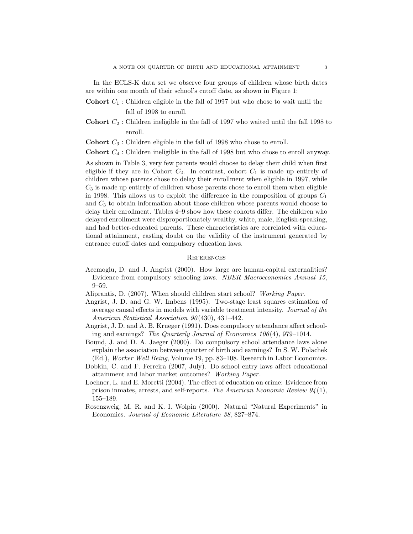In the ECLS-K data set we observe four groups of children whose birth dates are within one month of their school's cutoff date, as shown in Figure 1:

- **Cohort**  $C_1$ : Children eligible in the fall of 1997 but who chose to wait until the fall of 1998 to enroll.
- **Cohort**  $C_2$ : Children ineligible in the fall of 1997 who waited until the fall 1998 to enroll.

**Cohort**  $C_3$ : Children eligible in the fall of 1998 who chose to enroll.

Cohort C<sup>4</sup> : Children ineligible in the fall of 1998 but who chose to enroll anyway.

As shown in Table 3, very few parents would choose to delay their child when first eligible if they are in Cohort  $C_2$ . In contrast, cohort  $C_1$  is made up entirely of children whose parents chose to delay their enrollment when eligible in 1997, while  $C_3$  is made up entirely of children whose parents chose to enroll them when eligible in 1998. This allows us to exploit the difference in the composition of groups  $C_1$ and  $C_3$  to obtain information about those children whose parents would choose to delay their enrollment. Tables 4–9 show how these cohorts differ. The children who delayed enrollment were disproportionately wealthy, white, male, English-speaking, and had better-educated parents. These characteristics are correlated with educational attainment, casting doubt on the validity of the instrument generated by entrance cutoff dates and compulsory education laws.

#### **REFERENCES**

- Acemoglu, D. and J. Angrist (2000). How large are human-capital externalities? Evidence from compulsory schooling laws. NBER Macroeconomics Annual 15, 9–59.
- Aliprantis, D. (2007). When should children start school? Working Paper .
- Angrist, J. D. and G. W. Imbens (1995). Two-stage least squares estimation of average causal effects in models with variable treatment intensity. Journal of the American Statistical Association 90(430), 431–442.
- Angrist, J. D. and A. B. Krueger (1991). Does compulsory attendance affect schooling and earnings? The Quarterly Journal of Economics 106(4), 979–1014.
- Bound, J. and D. A. Jaeger (2000). Do compulsory school attendance laws alone explain the association between quarter of birth and earnings? In S. W. Polachek (Ed.), Worker Well Being, Volume 19, pp. 83–108. Research in Labor Economics.
- Dobkin, C. and F. Ferreira (2007, July). Do school entry laws affect educational attainment and labor market outcomes? Working Paper .
- Lochner, L. and E. Moretti (2004). The effect of education on crime: Evidence from prison inmates, arrests, and self-reports. The American Economic Review  $94(1)$ , 155–189.
- Rosenzweig, M. R. and K. I. Wolpin (2000). Natural "Natural Experiments" in Economics. Journal of Economic Literature 38, 827–874.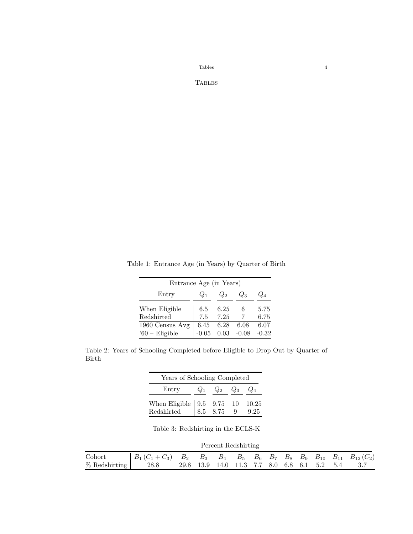$\begin{tabular}{cc} \textbf{Tables} & \textbf{4} \\ \end{tabular}$ 

**TABLES** 

Table 1: Entrance Age (in Years) by Quarter of Birth

| Entrance Age (in Years)              |         |      |         |         |  |  |  |  |
|--------------------------------------|---------|------|---------|---------|--|--|--|--|
| Entry<br>$\omega_{2}$<br>$U_1$<br>しつ |         |      |         |         |  |  |  |  |
| When Eligible                        | 6.5     | 6.25 |         | 5.75    |  |  |  |  |
| Redshirted                           | 7.5     | 7.25 |         | 6.75    |  |  |  |  |
| 1960 Census Avg                      | 6.45    | 6.28 | 6.08    | 6.07    |  |  |  |  |
| $60$ – Eligible                      | $-0.05$ | 0.03 | $-0.08$ | $-0.32$ |  |  |  |  |

Table 2: Years of Schooling Completed before Eligible to Drop Out by Quarter of Birth

| Years of Schooling Completed                                      |       |                   |  |  |  |  |  |
|-------------------------------------------------------------------|-------|-------------------|--|--|--|--|--|
| Entry                                                             | $Q_1$ | $Q_2$ $Q_3$ $Q_4$ |  |  |  |  |  |
| When Eligible   9.5 9.75 10 10.25<br>Redshirted   8.5 8.75 9 9.25 |       |                   |  |  |  |  |  |

Table 3: Redshirting in the ECLS-K

| Percent Redshirting |                                                                                                |                                             |  |  |  |  |  |  |  |      |
|---------------------|------------------------------------------------------------------------------------------------|---------------------------------------------|--|--|--|--|--|--|--|------|
| $\emph{Cohort}$     | $B_1(C_1+C_3)$ $B_2$ $B_3$ $B_4$ $B_5$ $B_6$ $B_7$ $B_8$ $B_9$ $B_{10}$ $B_{11}$ $B_{12}(C_2)$ |                                             |  |  |  |  |  |  |  |      |
| $%$ Redshirting     | 28.8                                                                                           | 29.8 13.9 14.0 11.3 7.7 8.0 6.8 6.1 5.2 5.4 |  |  |  |  |  |  |  | -3.7 |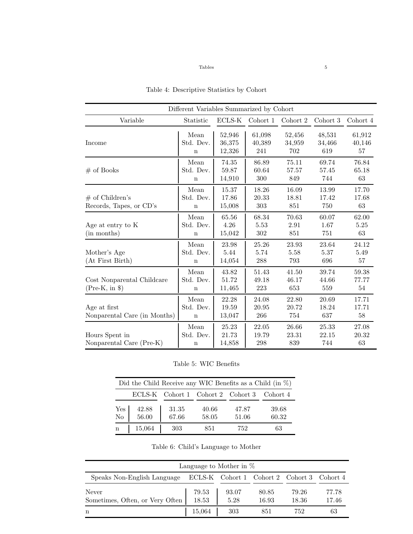## $\begin{tabular}{c} \bf Tables \end{tabular}$

| Different Variables Summarized by Cohort      |                                  |                            |                         |                         |                         |                        |  |  |
|-----------------------------------------------|----------------------------------|----------------------------|-------------------------|-------------------------|-------------------------|------------------------|--|--|
| Variable                                      | Statistic                        | ECLS-K                     | Cohort 1                | Cohort 2                | Cohort 3                | Cohort 4               |  |  |
| Income                                        | Mean<br>Std. Dev.<br>$\mathbf n$ | 52,946<br>36,375<br>12,326 | 61,098<br>40,389<br>241 | 52,456<br>34,959<br>702 | 48,531<br>34,466<br>619 | 61,912<br>40,146<br>57 |  |  |
| $#$ of Books                                  | Mean<br>Std. Dev.<br>$\mathbf n$ | 74.35<br>59.87<br>14,910   | 86.89<br>60.64<br>300   | 75.11<br>57.57<br>849   | 69.74<br>57.45<br>744   | 76.84<br>65.18<br>63   |  |  |
| $#$ of Children's<br>Records, Tapes, or CD's  | Mean<br>Std. Dev.<br>$\mathbf n$ | 15.37<br>17.86<br>15,008   | 18.26<br>20.33<br>303   | 16.09<br>18.81<br>851   | 13.99<br>17.42<br>750   | 17.70<br>17.68<br>63   |  |  |
| Age at entry to K<br>(in months)              | Mean<br>Std. Dev.<br>$\mathbf n$ | 65.56<br>4.26<br>15,042    | 68.34<br>5.53<br>302    | 70.63<br>2.91<br>851    | 60.07<br>1.67<br>751    | 62.00<br>5.25<br>63    |  |  |
| Mother's Age<br>(At First Birth)              | Mean<br>Std. Dev.<br>$\mathbf n$ | 23.98<br>5.44<br>14,054    | 25.26<br>5.74<br>288    | 23.93<br>5.58<br>793    | 23.64<br>5.37<br>696    | 24.12<br>5.49<br>57    |  |  |
| Cost Nonparental Childcare<br>$(Pre-K, in §)$ | Mean<br>Std. Dev.<br>$\mathbf n$ | 43.82<br>51.72<br>11,465   | 51.43<br>49.18<br>223   | 41.50<br>46.17<br>653   | 39.74<br>44.66<br>559   | 59.38<br>77.77<br>54   |  |  |
| Age at first<br>Nonparental Care (in Months)  | Mean<br>Std. Dev.<br>$\mathbf n$ | 22.28<br>19.59<br>13,047   | 24.08<br>20.95<br>266   | 22.80<br>20.72<br>754   | 20.69<br>18.24<br>637   | 17.71<br>17.71<br>58   |  |  |
| Hours Spent in<br>Nonparental Care (Pre-K)    | Mean<br>Std. Dev.<br>$\mathbf n$ | 25.23<br>21.73<br>14,858   | 22.05<br>19.79<br>298   | 26.66<br>23.31<br>839   | 25.33<br>22.15<br>744   | 27.08<br>20.32<br>63   |  |  |

Table 4: Descriptive Statistics by Cohort

## Table 5: WIC Benefits

| Did the Child Receive any WIC Benefits as a Child (in $\%$ ) |                 |       |       |                                            |       |  |  |  |
|--------------------------------------------------------------|-----------------|-------|-------|--------------------------------------------|-------|--|--|--|
|                                                              |                 |       |       | ECLS-K Cohort 1 Cohort 2 Cohort 3 Cohort 4 |       |  |  |  |
| Yes                                                          |                 | 31.35 | 40.66 | 47.87                                      | 39.68 |  |  |  |
| No                                                           | $42.88$ $56.00$ | 67.66 | 58.05 | 51.06                                      | 60.32 |  |  |  |
| $\mathbf n$                                                  | 15,064          | 303   | 851   | 752                                        | 63    |  |  |  |

| Language to Mother in $%$                                              |        |       |       |       |       |  |  |  |
|------------------------------------------------------------------------|--------|-------|-------|-------|-------|--|--|--|
| Speaks Non-English Language ECLS-K Cohort 1 Cohort 2 Cohort 3 Cohort 4 |        |       |       |       |       |  |  |  |
| Never                                                                  | 79.53  | 93.07 | 80.85 | 79.26 | 77.78 |  |  |  |
| Sometimes, Often, or Very Often                                        | 18.53  | 5.28  | 16.93 | 18.36 | 17.46 |  |  |  |
| n                                                                      | 15,064 | 303   | 851   | 752   | 63    |  |  |  |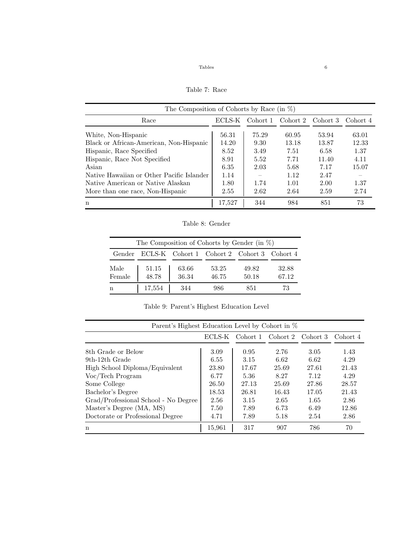Table 7: Race

| The Composition of Cohorts by Race (in $\%$ ) |        |          |          |          |          |  |  |  |
|-----------------------------------------------|--------|----------|----------|----------|----------|--|--|--|
| Race                                          | ECLS-K | Cohort 1 | Cohort 2 | Cohort 3 | Cohort 4 |  |  |  |
| White, Non-Hispanic                           | 56.31  | 75.29    | 60.95    | 53.94    | 63.01    |  |  |  |
| Black or African-American, Non-Hispanic       | 14.20  | 9.30     | 13.18    | 13.87    | 12.33    |  |  |  |
| Hispanic, Race Specified                      | 8.52   | 3.49     | 7.51     | 6.58     | 1.37     |  |  |  |
| Hispanic, Race Not Specified                  | 8.91   | 5.52     | 7.71     | 11.40    | 4.11     |  |  |  |
| Asian                                         | 6.35   | 2.03     | 5.68     | 7.17     | 15.07    |  |  |  |
| Native Hawaiian or Other Pacific Islander     | 1.14   |          | 1.12     | 2.47     |          |  |  |  |
| Native American or Native Alaskan             | 1.80   | 1.74     | 1.01     | 2.00     | 1.37     |  |  |  |
| More than one race, Non-Hispanic              | 2.55   | 2.62     | 2.64     | 2.59     | 2.74     |  |  |  |
| n                                             | 17,527 | 344      | 984      | 851      | 73       |  |  |  |

Table 8: Gender

| The Composition of Cohorts by Gender (in $\%$ ) |        |                                            |       |       |       |  |  |  |
|-------------------------------------------------|--------|--------------------------------------------|-------|-------|-------|--|--|--|
| Gender                                          |        | ECLS-K Cohort 1 Cohort 2 Cohort 3 Cohort 4 |       |       |       |  |  |  |
| Male                                            | 51.15  | 63.66                                      | 53.25 | 49.82 | 32.88 |  |  |  |
| Female                                          | 48.78  | 36.34                                      | 46.75 | 50.18 | 67.12 |  |  |  |
| n                                               | 17,554 | 344                                        | 986   | 851   | 73    |  |  |  |

Table 9: Parent's Highest Education Level

| Parent's Highest Education Level by Cohort in % |        |          |          |          |          |  |  |  |
|-------------------------------------------------|--------|----------|----------|----------|----------|--|--|--|
|                                                 | ECLS-K | Cohort 1 | Cohort 2 | Cohort 3 | Cohort 4 |  |  |  |
| 8th Grade or Below                              | 3.09   | 0.95     | 2.76     | 3.05     | 1.43     |  |  |  |
| 9th-12th Grade                                  | 6.55   | 3.15     | 6.62     | 6.62     | 4.29     |  |  |  |
| High School Diploma/Equivalent                  | 23.80  | 17.67    | 25.69    | 27.61    | 21.43    |  |  |  |
| Voc/Tech Program                                | 6.77   | 5.36     | 8.27     | 7.12     | 4.29     |  |  |  |
| Some College                                    | 26.50  | 27.13    | 25.69    | 27.86    | 28.57    |  |  |  |
| Bachelor's Degree                               | 18.53  | 26.81    | 16.43    | 17.05    | 21.43    |  |  |  |
| Grad/Professional School - No Degree            | 2.56   | 3.15     | 2.65     | 1.65     | 2.86     |  |  |  |
| Master's Degree (MA, MS)                        | 7.50   | 7.89     | 6.73     | 6.49     | 12.86    |  |  |  |
| Doctorate or Professional Degree                | 4.71   | 7.89     | 5.18     | 2.54     | 2.86     |  |  |  |
| n                                               | 15,961 | 317      | 907      | 786      | 70       |  |  |  |